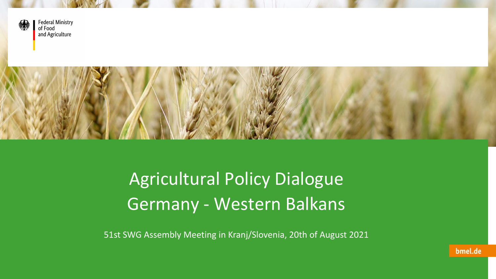

**Federal Ministry** of Food and Agriculture



Agricultural Policy Dialogue Germany - Western Balkans

51st SWG Assembly Meeting in Kranj/Slovenia, 20th of August 2021

bmel.de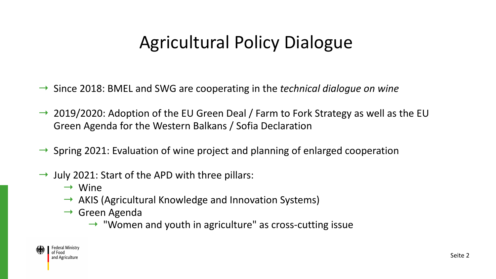# Agricultural Policy Dialogue

- → Since 2018: BMEL and SWG are cooperating in the *technical dialogue on wine*
- $\rightarrow$  2019/2020: Adoption of the EU Green Deal / Farm to Fork Strategy as well as the EU Green Agenda for the Western Balkans / Sofia Declaration
- $\rightarrow$  Spring 2021: Evaluation of wine project and planning of enlarged cooperation
- $\rightarrow$  July 2021: Start of the APD with three pillars:
	- $\rightarrow$  Wine
	- $\rightarrow$  AKIS (Agricultural Knowledge and Innovation Systems)
	- $\rightarrow$  Green Agenda
		- $\rightarrow$  "Women and youth in agriculture" as cross-cutting issue

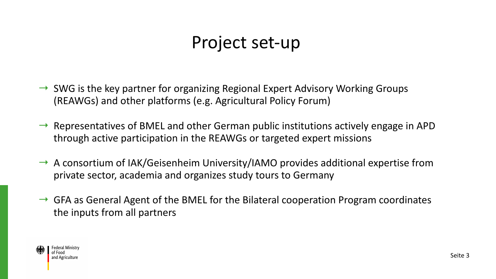#### Project set-up

- $\rightarrow$  SWG is the key partner for organizing Regional Expert Advisory Working Groups (REAWGs) and other platforms (e.g. Agricultural Policy Forum)
- $\rightarrow$  Representatives of BMEL and other German public institutions actively engage in APD through active participation in the REAWGs or targeted expert missions
- $\rightarrow$  A consortium of IAK/Geisenheim University/IAMO provides additional expertise from private sector, academia and organizes study tours to Germany
- $\rightarrow$  GFA as General Agent of the BMEL for the Bilateral cooperation Program coordinates the inputs from all partners

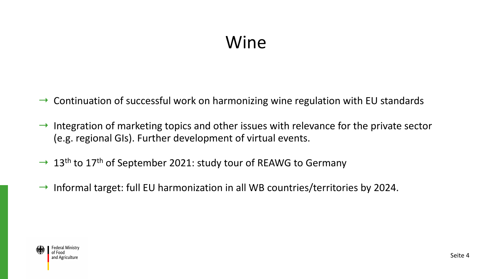#### Wine

- $\rightarrow$  Continuation of successful work on harmonizing wine regulation with EU standards
- $\rightarrow$  Integration of marketing topics and other issues with relevance for the private sector (e.g. regional GIs). Further development of virtual events.
- $\rightarrow$  13<sup>th</sup> to 17<sup>th</sup> of September 2021: study tour of REAWG to Germany
- $\rightarrow$  Informal target: full EU harmonization in all WB countries/territories by 2024.

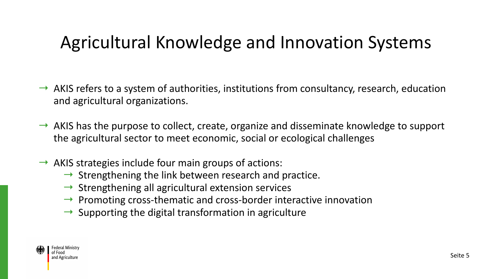## Agricultural Knowledge and Innovation Systems

- $\rightarrow$  AKIS refers to a system of authorities, institutions from consultancy, research, education and agricultural organizations.
- $\rightarrow$  AKIS has the purpose to collect, create, organize and disseminate knowledge to support the agricultural sector to meet economic, social or ecological challenges
- $\rightarrow$  AKIS strategies include four main groups of actions:
	- $\rightarrow$  Strengthening the link between research and practice.
	- $\rightarrow$  Strengthening all agricultural extension services
	- $\rightarrow$  Promoting cross-thematic and cross-border interactive innovation
	- $\rightarrow$  Supporting the digital transformation in agriculture

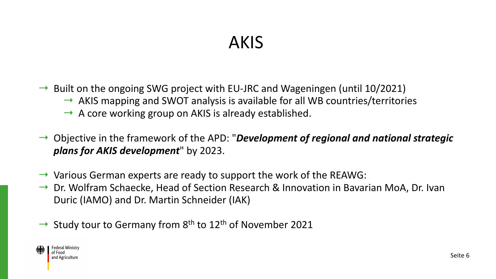## AKIS

- $\rightarrow$  Built on the ongoing SWG project with EU-JRC and Wageningen (until 10/2021)
	- $\rightarrow$  AKIS mapping and SWOT analysis is available for all WB countries/territories
	- $\rightarrow$  A core working group on AKIS is already established.
- → Objective in the framework of the APD: "*Development of regional and national strategic plans for AKIS development*" by 2023.
- $\rightarrow$  Various German experts are ready to support the work of the REAWG:
- $\rightarrow$  Dr. Wolfram Schaecke, Head of Section Research & Innovation in Bavarian MoA, Dr. Ivan Duric (IAMO) and Dr. Martin Schneider (IAK)
- $\rightarrow$  Study tour to Germany from 8<sup>th</sup> to 12<sup>th</sup> of November 2021

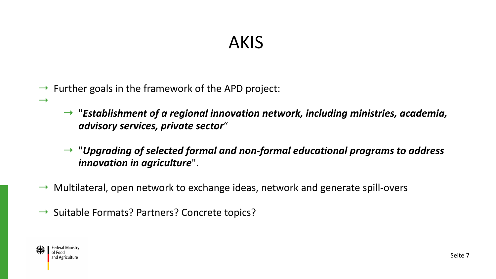### AKIS

- $\rightarrow$  Further goals in the framework of the APD project:
	- → "*Establishment of a regional innovation network, including ministries, academia, advisory services, private sector*"
	- → "*Upgrading of selected formal and non-formal educational programs to address innovation in agriculture*".
- $\rightarrow$  Multilateral, open network to exchange ideas, network and generate spill-overs
- $\rightarrow$  Suitable Formats? Partners? Concrete topics?



 $\rightarrow$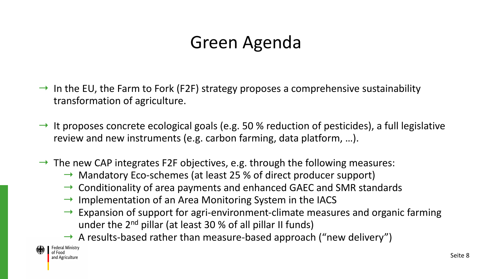## Green Agenda

- $\rightarrow$  In the EU, the Farm to Fork (F2F) strategy proposes a comprehensive sustainability transformation of agriculture.
- $\rightarrow$  It proposes concrete ecological goals (e.g. 50 % reduction of pesticides), a full legislative review and new instruments (e.g. carbon farming, data platform, …).
- $\rightarrow$  The new CAP integrates F2F objectives, e.g. through the following measures:
	- $\rightarrow$  Mandatory Eco-schemes (at least 25 % of direct producer support)
	- $\rightarrow$  Conditionality of area payments and enhanced GAEC and SMR standards
	- $\rightarrow$  Implementation of an Area Monitoring System in the IACS
	- $\rightarrow$  Expansion of support for agri-environment-climate measures and organic farming under the  $2<sup>nd</sup>$  pillar (at least 30 % of all pillar II funds)
	- $\rightarrow$  A results-based rather than measure-based approach ("new delivery")

Federal Ministry of Food and Agriculture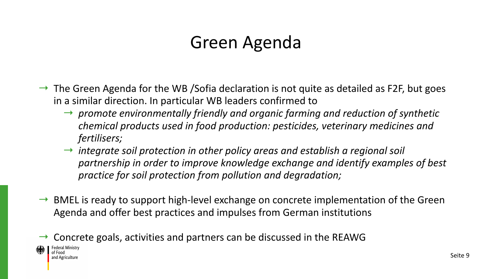### Green Agenda

- $\rightarrow$  The Green Agenda for the WB /Sofia declaration is not quite as detailed as F2F, but goes in a similar direction. In particular WB leaders confirmed to
	- → *promote environmentally friendly and organic farming and reduction of synthetic chemical products used in food production: pesticides, veterinary medicines and fertilisers;*
	- → *integrate soil protection in other policy areas and establish a regional soil partnership in order to improve knowledge exchange and identify examples of best practice for soil protection from pollution and degradation;*
- $\rightarrow$  BMEL is ready to support high-level exchange on concrete implementation of the Green Agenda and offer best practices and impulses from German institutions
- Concrete goals, activities and partners can be discussed in the REAWG



of Food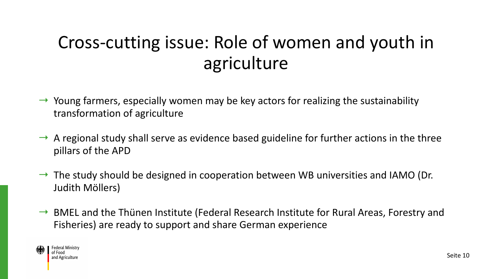# Cross-cutting issue: Role of women and youth in agriculture

- $\rightarrow$  Young farmers, especially women may be key actors for realizing the sustainability transformation of agriculture
- $\rightarrow$  A regional study shall serve as evidence based guideline for further actions in the three pillars of the APD
- $\rightarrow$  The study should be designed in cooperation between WB universities and IAMO (Dr. Judith Möllers)
- $\rightarrow$  BMEL and the Thünen Institute (Federal Research Institute for Rural Areas, Forestry and Fisheries) are ready to support and share German experience

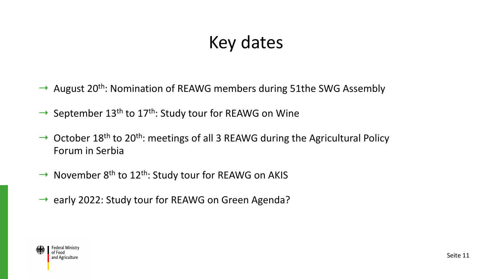# Key dates

- $\rightarrow$  August 20<sup>th</sup>: Nomination of REAWG members during 51the SWG Assembly
- $\rightarrow$  September 13<sup>th</sup> to 17<sup>th</sup>: Study tour for REAWG on Wine
- $\rightarrow$  October 18<sup>th</sup> to 20<sup>th</sup>: meetings of all 3 REAWG during the Agricultural Policy Forum in Serbia
- $\rightarrow$  November 8<sup>th</sup> to 12<sup>th</sup>: Study tour for REAWG on AKIS
- $\rightarrow$  early 2022: Study tour for REAWG on Green Agenda?